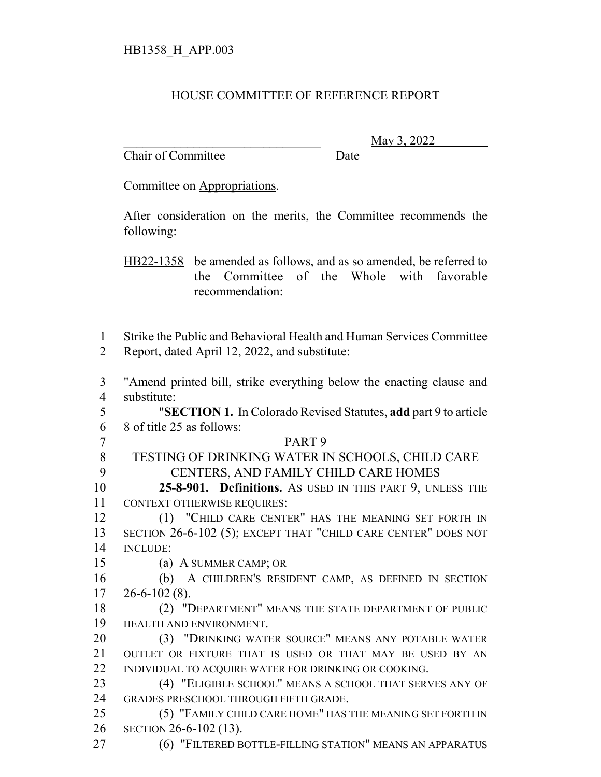## HOUSE COMMITTEE OF REFERENCE REPORT

Chair of Committee Date

\_\_\_\_\_\_\_\_\_\_\_\_\_\_\_\_\_\_\_\_\_\_\_\_\_\_\_\_\_\_\_ May 3, 2022

Committee on Appropriations.

After consideration on the merits, the Committee recommends the following:

HB22-1358 be amended as follows, and as so amended, be referred to the Committee of the Whole with favorable recommendation:

 Strike the Public and Behavioral Health and Human Services Committee Report, dated April 12, 2022, and substitute:

 "Amend printed bill, strike everything below the enacting clause and substitute:

 "**SECTION 1.** In Colorado Revised Statutes, **add** part 9 to article 8 of title 25 as follows:

 PART 9 TESTING OF DRINKING WATER IN SCHOOLS, CHILD CARE CENTERS, AND FAMILY CHILD CARE HOMES

 **25-8-901. Definitions.** AS USED IN THIS PART 9, UNLESS THE CONTEXT OTHERWISE REQUIRES:

12 (1) "CHILD CARE CENTER" HAS THE MEANING SET FORTH IN SECTION 26-6-102 (5); EXCEPT THAT "CHILD CARE CENTER" DOES NOT INCLUDE:

(a) A SUMMER CAMP; OR

 (b) A CHILDREN'S RESIDENT CAMP, AS DEFINED IN SECTION  $17 \quad 26 - 6 - 102 \tag{8}.$ 

 (2) "DEPARTMENT" MEANS THE STATE DEPARTMENT OF PUBLIC HEALTH AND ENVIRONMENT.

 (3) "DRINKING WATER SOURCE" MEANS ANY POTABLE WATER OUTLET OR FIXTURE THAT IS USED OR THAT MAY BE USED BY AN 22 INDIVIDUAL TO ACQUIRE WATER FOR DRINKING OR COOKING.

 (4) "ELIGIBLE SCHOOL" MEANS A SCHOOL THAT SERVES ANY OF GRADES PRESCHOOL THROUGH FIFTH GRADE.

 (5) "FAMILY CHILD CARE HOME" HAS THE MEANING SET FORTH IN SECTION 26-6-102 (13).

(6) "FILTERED BOTTLE-FILLING STATION" MEANS AN APPARATUS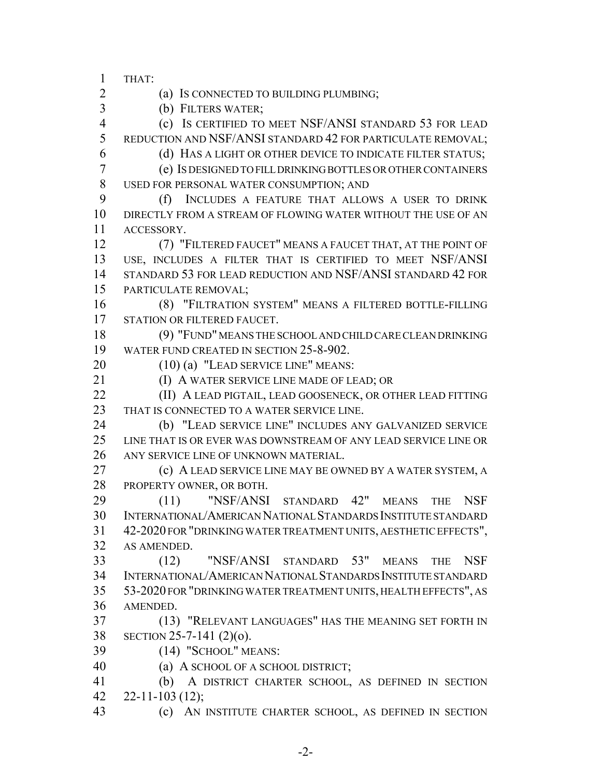THAT:

(a) IS CONNECTED TO BUILDING PLUMBING;

(b) FILTERS WATER;

 (c) IS CERTIFIED TO MEET NSF/ANSI STANDARD 53 FOR LEAD REDUCTION AND NSF/ANSI STANDARD 42 FOR PARTICULATE REMOVAL;

 (d) HAS A LIGHT OR OTHER DEVICE TO INDICATE FILTER STATUS; (e) IS DESIGNED TO FILL DRINKING BOTTLES OR OTHER CONTAINERS USED FOR PERSONAL WATER CONSUMPTION; AND

 (f) INCLUDES A FEATURE THAT ALLOWS A USER TO DRINK DIRECTLY FROM A STREAM OF FLOWING WATER WITHOUT THE USE OF AN ACCESSORY.

 (7) "FILTERED FAUCET" MEANS A FAUCET THAT, AT THE POINT OF USE, INCLUDES A FILTER THAT IS CERTIFIED TO MEET NSF/ANSI STANDARD 53 FOR LEAD REDUCTION AND NSF/ANSI STANDARD 42 FOR PARTICULATE REMOVAL;

 (8) "FILTRATION SYSTEM" MEANS A FILTERED BOTTLE-FILLING STATION OR FILTERED FAUCET.

 (9) "FUND" MEANS THE SCHOOL AND CHILD CARE CLEAN DRINKING WATER FUND CREATED IN SECTION 25-8-902.

20 (10) (a) "LEAD SERVICE LINE" MEANS:

**(I) A WATER SERVICE LINE MADE OF LEAD; OR** 

**(II) A LEAD PIGTAIL, LEAD GOOSENECK, OR OTHER LEAD FITTING** THAT IS CONNECTED TO A WATER SERVICE LINE.

 (b) "LEAD SERVICE LINE" INCLUDES ANY GALVANIZED SERVICE LINE THAT IS OR EVER WAS DOWNSTREAM OF ANY LEAD SERVICE LINE OR ANY SERVICE LINE OF UNKNOWN MATERIAL.

 (c) A LEAD SERVICE LINE MAY BE OWNED BY A WATER SYSTEM, A PROPERTY OWNER, OR BOTH.

 (11) "NSF/ANSI STANDARD 42" MEANS THE NSF INTERNATIONAL/AMERICAN NATIONAL STANDARDS INSTITUTE STANDARD 42-2020 FOR "DRINKING WATER TREATMENT UNITS, AESTHETIC EFFECTS", AS AMENDED.

 (12) "NSF/ANSI STANDARD 53" MEANS THE NSF INTERNATIONAL/AMERICAN NATIONAL STANDARDS INSTITUTE STANDARD 53-2020 FOR "DRINKING WATER TREATMENT UNITS, HEALTH EFFECTS", AS AMENDED.

 (13) "RELEVANT LANGUAGES" HAS THE MEANING SET FORTH IN SECTION 25-7-141 (2)(o).

(14) "SCHOOL" MEANS:

(a) A SCHOOL OF A SCHOOL DISTRICT;

 (b) A DISTRICT CHARTER SCHOOL, AS DEFINED IN SECTION 22-11-103 (12);

(c) AN INSTITUTE CHARTER SCHOOL, AS DEFINED IN SECTION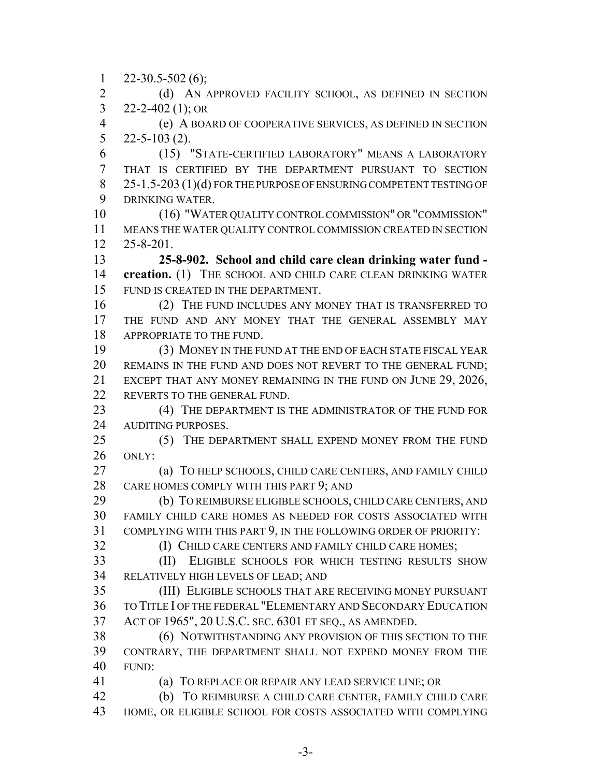$1 \quad 22 - 30.5 - 502 \tag{6}$ ;

2 (d) AN APPROVED FACILITY SCHOOL, AS DEFINED IN SECTION 3 22-2-402 (1); OR

 (e) A BOARD OF COOPERATIVE SERVICES, AS DEFINED IN SECTION 22-5-103 (2).

 (15) "STATE-CERTIFIED LABORATORY" MEANS A LABORATORY THAT IS CERTIFIED BY THE DEPARTMENT PURSUANT TO SECTION 8 25-1.5-203 (1)(d) FOR THE PURPOSE OF ENSURING COMPETENT TESTING OF DRINKING WATER.

 (16) "WATER QUALITY CONTROL COMMISSION" OR "COMMISSION" MEANS THE WATER QUALITY CONTROL COMMISSION CREATED IN SECTION 25-8-201.

 **25-8-902. School and child care clean drinking water fund - creation.** (1) THE SCHOOL AND CHILD CARE CLEAN DRINKING WATER FUND IS CREATED IN THE DEPARTMENT.

16 (2) THE FUND INCLUDES ANY MONEY THAT IS TRANSFERRED TO 17 THE FUND AND ANY MONEY THAT THE GENERAL ASSEMBLY MAY APPROPRIATE TO THE FUND.

 (3) MONEY IN THE FUND AT THE END OF EACH STATE FISCAL YEAR 20 REMAINS IN THE FUND AND DOES NOT REVERT TO THE GENERAL FUND; EXCEPT THAT ANY MONEY REMAINING IN THE FUND ON JUNE 29, 2026, REVERTS TO THE GENERAL FUND.

23 (4) THE DEPARTMENT IS THE ADMINISTRATOR OF THE FUND FOR AUDITING PURPOSES.

 (5) THE DEPARTMENT SHALL EXPEND MONEY FROM THE FUND ONLY:

 (a) TO HELP SCHOOLS, CHILD CARE CENTERS, AND FAMILY CHILD 28 CARE HOMES COMPLY WITH THIS PART 9; AND

 (b) TO REIMBURSE ELIGIBLE SCHOOLS, CHILD CARE CENTERS, AND FAMILY CHILD CARE HOMES AS NEEDED FOR COSTS ASSOCIATED WITH COMPLYING WITH THIS PART 9, IN THE FOLLOWING ORDER OF PRIORITY:

(I) CHILD CARE CENTERS AND FAMILY CHILD CARE HOMES;

 (II) ELIGIBLE SCHOOLS FOR WHICH TESTING RESULTS SHOW RELATIVELY HIGH LEVELS OF LEAD; AND

 (III) ELIGIBLE SCHOOLS THAT ARE RECEIVING MONEY PURSUANT TO TITLE I OF THE FEDERAL "ELEMENTARY AND SECONDARY EDUCATION ACT OF 1965", 20 U.S.C. SEC. 6301 ET SEQ., AS AMENDED.

 (6) NOTWITHSTANDING ANY PROVISION OF THIS SECTION TO THE CONTRARY, THE DEPARTMENT SHALL NOT EXPEND MONEY FROM THE FUND:

(a) TO REPLACE OR REPAIR ANY LEAD SERVICE LINE; OR

 (b) TO REIMBURSE A CHILD CARE CENTER, FAMILY CHILD CARE HOME, OR ELIGIBLE SCHOOL FOR COSTS ASSOCIATED WITH COMPLYING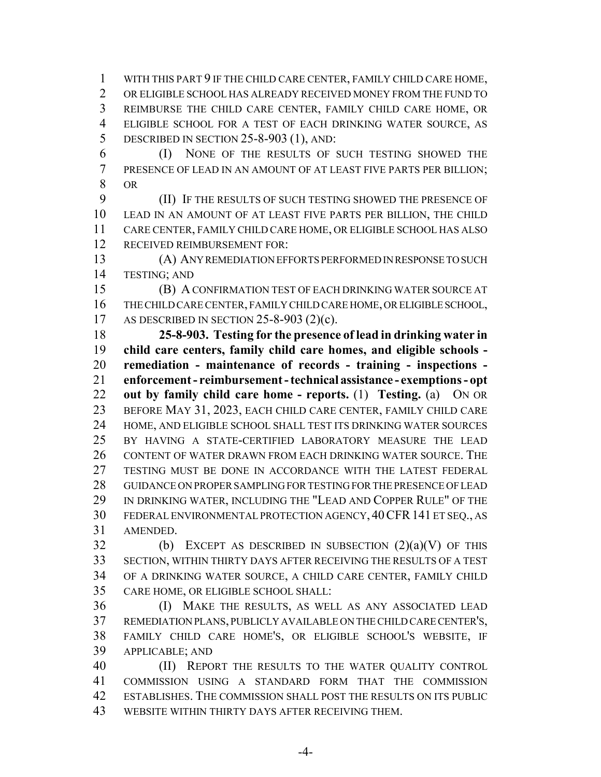WITH THIS PART 9 IF THE CHILD CARE CENTER, FAMILY CHILD CARE HOME, OR ELIGIBLE SCHOOL HAS ALREADY RECEIVED MONEY FROM THE FUND TO REIMBURSE THE CHILD CARE CENTER, FAMILY CHILD CARE HOME, OR ELIGIBLE SCHOOL FOR A TEST OF EACH DRINKING WATER SOURCE, AS 5 DESCRIBED IN SECTION 25-8-903 (1), AND:

 (I) NONE OF THE RESULTS OF SUCH TESTING SHOWED THE PRESENCE OF LEAD IN AN AMOUNT OF AT LEAST FIVE PARTS PER BILLION; OR

 (II) IF THE RESULTS OF SUCH TESTING SHOWED THE PRESENCE OF LEAD IN AN AMOUNT OF AT LEAST FIVE PARTS PER BILLION, THE CHILD CARE CENTER, FAMILY CHILD CARE HOME, OR ELIGIBLE SCHOOL HAS ALSO RECEIVED REIMBURSEMENT FOR:

 (A) ANY REMEDIATION EFFORTS PERFORMED IN RESPONSE TO SUCH TESTING; AND

 (B) A CONFIRMATION TEST OF EACH DRINKING WATER SOURCE AT THE CHILD CARE CENTER, FAMILY CHILD CARE HOME, OR ELIGIBLE SCHOOL, AS DESCRIBED IN SECTION 25-8-903 (2)(c).

 **25-8-903. Testing for the presence of lead in drinking water in child care centers, family child care homes, and eligible schools - remediation - maintenance of records - training - inspections - enforcement - reimbursement - technical assistance - exemptions - opt out by family child care home - reports.** (1) **Testing.** (a) ON OR BEFORE MAY 31, 2023, EACH CHILD CARE CENTER, FAMILY CHILD CARE HOME, AND ELIGIBLE SCHOOL SHALL TEST ITS DRINKING WATER SOURCES BY HAVING A STATE-CERTIFIED LABORATORY MEASURE THE LEAD CONTENT OF WATER DRAWN FROM EACH DRINKING WATER SOURCE. THE 27 TESTING MUST BE DONE IN ACCORDANCE WITH THE LATEST FEDERAL GUIDANCE ON PROPER SAMPLING FOR TESTING FOR THE PRESENCE OF LEAD IN DRINKING WATER, INCLUDING THE "LEAD AND COPPER RULE" OF THE FEDERAL ENVIRONMENTAL PROTECTION AGENCY, 40CFR141 ET SEQ., AS AMENDED.

32 (b) EXCEPT AS DESCRIBED IN SUBSECTION  $(2)(a)(V)$  OF THIS SECTION, WITHIN THIRTY DAYS AFTER RECEIVING THE RESULTS OF A TEST OF A DRINKING WATER SOURCE, A CHILD CARE CENTER, FAMILY CHILD CARE HOME, OR ELIGIBLE SCHOOL SHALL:

 (I) MAKE THE RESULTS, AS WELL AS ANY ASSOCIATED LEAD REMEDIATION PLANS, PUBLICLY AVAILABLE ON THE CHILD CARE CENTER'S, FAMILY CHILD CARE HOME'S, OR ELIGIBLE SCHOOL'S WEBSITE, IF APPLICABLE; AND

 (II) REPORT THE RESULTS TO THE WATER QUALITY CONTROL COMMISSION USING A STANDARD FORM THAT THE COMMISSION ESTABLISHES. THE COMMISSION SHALL POST THE RESULTS ON ITS PUBLIC WEBSITE WITHIN THIRTY DAYS AFTER RECEIVING THEM.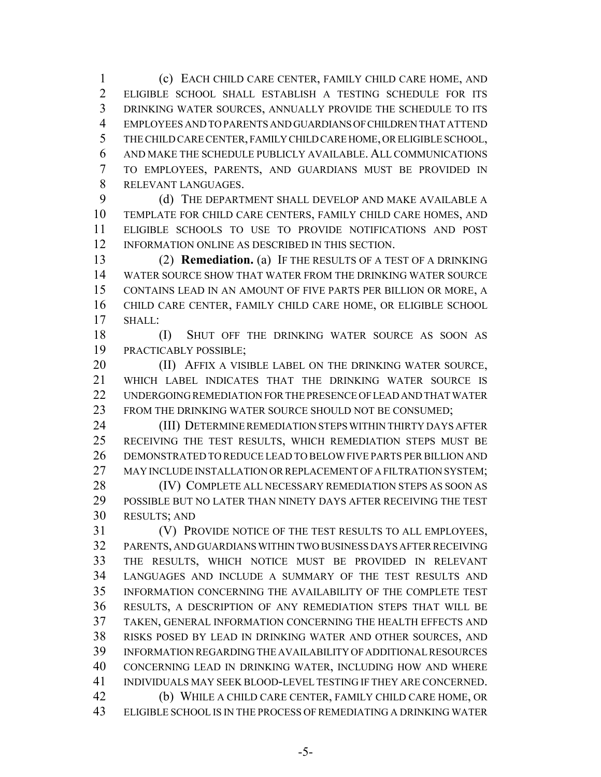(c) EACH CHILD CARE CENTER, FAMILY CHILD CARE HOME, AND ELIGIBLE SCHOOL SHALL ESTABLISH A TESTING SCHEDULE FOR ITS DRINKING WATER SOURCES, ANNUALLY PROVIDE THE SCHEDULE TO ITS EMPLOYEES AND TO PARENTS AND GUARDIANS OF CHILDREN THAT ATTEND THE CHILD CARE CENTER, FAMILY CHILD CARE HOME, OR ELIGIBLE SCHOOL, AND MAKE THE SCHEDULE PUBLICLY AVAILABLE. ALL COMMUNICATIONS TO EMPLOYEES, PARENTS, AND GUARDIANS MUST BE PROVIDED IN RELEVANT LANGUAGES.

9 (d) THE DEPARTMENT SHALL DEVELOP AND MAKE AVAILABLE A TEMPLATE FOR CHILD CARE CENTERS, FAMILY CHILD CARE HOMES, AND ELIGIBLE SCHOOLS TO USE TO PROVIDE NOTIFICATIONS AND POST INFORMATION ONLINE AS DESCRIBED IN THIS SECTION.

 (2) **Remediation.** (a) IF THE RESULTS OF A TEST OF A DRINKING WATER SOURCE SHOW THAT WATER FROM THE DRINKING WATER SOURCE CONTAINS LEAD IN AN AMOUNT OF FIVE PARTS PER BILLION OR MORE, A CHILD CARE CENTER, FAMILY CHILD CARE HOME, OR ELIGIBLE SCHOOL SHALL:

18 (I) SHUT OFF THE DRINKING WATER SOURCE AS SOON AS PRACTICABLY POSSIBLE;

**(II)** AFFIX A VISIBLE LABEL ON THE DRINKING WATER SOURCE, WHICH LABEL INDICATES THAT THE DRINKING WATER SOURCE IS UNDERGOING REMEDIATION FOR THE PRESENCE OF LEAD AND THAT WATER 23 FROM THE DRINKING WATER SOURCE SHOULD NOT BE CONSUMED;

 (III) DETERMINE REMEDIATION STEPS WITHIN THIRTY DAYS AFTER RECEIVING THE TEST RESULTS, WHICH REMEDIATION STEPS MUST BE DEMONSTRATED TO REDUCE LEAD TO BELOW FIVE PARTS PER BILLION AND 27 MAY INCLUDE INSTALLATION OR REPLACEMENT OF A FILTRATION SYSTEM:

28 (IV) COMPLETE ALL NECESSARY REMEDIATION STEPS AS SOON AS POSSIBLE BUT NO LATER THAN NINETY DAYS AFTER RECEIVING THE TEST RESULTS; AND

 (V) PROVIDE NOTICE OF THE TEST RESULTS TO ALL EMPLOYEES, PARENTS, AND GUARDIANS WITHIN TWO BUSINESS DAYS AFTER RECEIVING THE RESULTS, WHICH NOTICE MUST BE PROVIDED IN RELEVANT LANGUAGES AND INCLUDE A SUMMARY OF THE TEST RESULTS AND INFORMATION CONCERNING THE AVAILABILITY OF THE COMPLETE TEST RESULTS, A DESCRIPTION OF ANY REMEDIATION STEPS THAT WILL BE TAKEN, GENERAL INFORMATION CONCERNING THE HEALTH EFFECTS AND RISKS POSED BY LEAD IN DRINKING WATER AND OTHER SOURCES, AND INFORMATION REGARDING THE AVAILABILITY OF ADDITIONAL RESOURCES CONCERNING LEAD IN DRINKING WATER, INCLUDING HOW AND WHERE INDIVIDUALS MAY SEEK BLOOD-LEVEL TESTING IF THEY ARE CONCERNED. (b) WHILE A CHILD CARE CENTER, FAMILY CHILD CARE HOME, OR ELIGIBLE SCHOOL IS IN THE PROCESS OF REMEDIATING A DRINKING WATER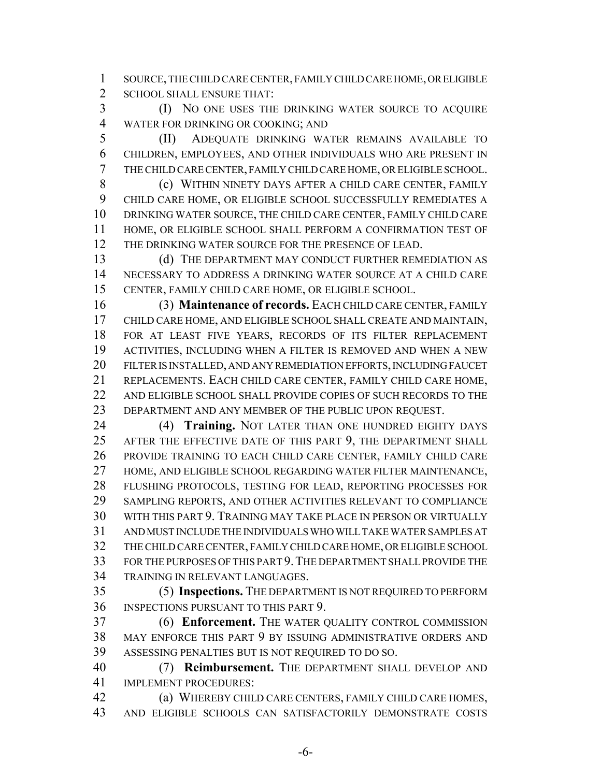SOURCE, THE CHILD CARE CENTER, FAMILY CHILD CARE HOME, OR ELIGIBLE SCHOOL SHALL ENSURE THAT:

 (I) NO ONE USES THE DRINKING WATER SOURCE TO ACQUIRE WATER FOR DRINKING OR COOKING; AND

 (II) ADEQUATE DRINKING WATER REMAINS AVAILABLE TO CHILDREN, EMPLOYEES, AND OTHER INDIVIDUALS WHO ARE PRESENT IN THE CHILD CARE CENTER, FAMILY CHILD CARE HOME, OR ELIGIBLE SCHOOL.

 (c) WITHIN NINETY DAYS AFTER A CHILD CARE CENTER, FAMILY CHILD CARE HOME, OR ELIGIBLE SCHOOL SUCCESSFULLY REMEDIATES A DRINKING WATER SOURCE, THE CHILD CARE CENTER, FAMILY CHILD CARE HOME, OR ELIGIBLE SCHOOL SHALL PERFORM A CONFIRMATION TEST OF THE DRINKING WATER SOURCE FOR THE PRESENCE OF LEAD.

13 (d) THE DEPARTMENT MAY CONDUCT FURTHER REMEDIATION AS NECESSARY TO ADDRESS A DRINKING WATER SOURCE AT A CHILD CARE CENTER, FAMILY CHILD CARE HOME, OR ELIGIBLE SCHOOL.

 (3) **Maintenance of records.** EACH CHILD CARE CENTER, FAMILY CHILD CARE HOME, AND ELIGIBLE SCHOOL SHALL CREATE AND MAINTAIN, FOR AT LEAST FIVE YEARS, RECORDS OF ITS FILTER REPLACEMENT ACTIVITIES, INCLUDING WHEN A FILTER IS REMOVED AND WHEN A NEW FILTER IS INSTALLED, AND ANY REMEDIATION EFFORTS, INCLUDING FAUCET REPLACEMENTS. EACH CHILD CARE CENTER, FAMILY CHILD CARE HOME, 22 AND ELIGIBLE SCHOOL SHALL PROVIDE COPIES OF SUCH RECORDS TO THE DEPARTMENT AND ANY MEMBER OF THE PUBLIC UPON REQUEST.

 (4) **Training.** NOT LATER THAN ONE HUNDRED EIGHTY DAYS AFTER THE EFFECTIVE DATE OF THIS PART 9, THE DEPARTMENT SHALL PROVIDE TRAINING TO EACH CHILD CARE CENTER, FAMILY CHILD CARE HOME, AND ELIGIBLE SCHOOL REGARDING WATER FILTER MAINTENANCE, FLUSHING PROTOCOLS, TESTING FOR LEAD, REPORTING PROCESSES FOR SAMPLING REPORTS, AND OTHER ACTIVITIES RELEVANT TO COMPLIANCE WITH THIS PART 9. TRAINING MAY TAKE PLACE IN PERSON OR VIRTUALLY AND MUST INCLUDE THE INDIVIDUALS WHO WILL TAKE WATER SAMPLES AT THE CHILD CARE CENTER, FAMILY CHILD CARE HOME, OR ELIGIBLE SCHOOL FOR THE PURPOSES OF THIS PART 9.THE DEPARTMENT SHALL PROVIDE THE TRAINING IN RELEVANT LANGUAGES.

 (5) **Inspections.** THE DEPARTMENT IS NOT REQUIRED TO PERFORM INSPECTIONS PURSUANT TO THIS PART 9.

 (6) **Enforcement.** THE WATER QUALITY CONTROL COMMISSION MAY ENFORCE THIS PART 9 BY ISSUING ADMINISTRATIVE ORDERS AND ASSESSING PENALTIES BUT IS NOT REQUIRED TO DO SO.

 (7) **Reimbursement.** THE DEPARTMENT SHALL DEVELOP AND IMPLEMENT PROCEDURES:

 (a) WHEREBY CHILD CARE CENTERS, FAMILY CHILD CARE HOMES, AND ELIGIBLE SCHOOLS CAN SATISFACTORILY DEMONSTRATE COSTS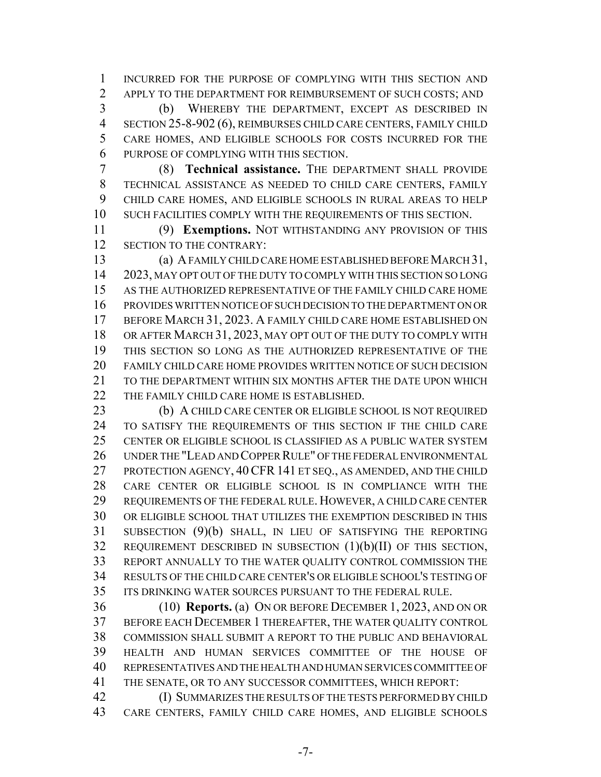INCURRED FOR THE PURPOSE OF COMPLYING WITH THIS SECTION AND 2 APPLY TO THE DEPARTMENT FOR REIMBURSEMENT OF SUCH COSTS; AND

 (b) WHEREBY THE DEPARTMENT, EXCEPT AS DESCRIBED IN SECTION 25-8-902 (6), REIMBURSES CHILD CARE CENTERS, FAMILY CHILD CARE HOMES, AND ELIGIBLE SCHOOLS FOR COSTS INCURRED FOR THE PURPOSE OF COMPLYING WITH THIS SECTION.

 (8) **Technical assistance.** THE DEPARTMENT SHALL PROVIDE TECHNICAL ASSISTANCE AS NEEDED TO CHILD CARE CENTERS, FAMILY CHILD CARE HOMES, AND ELIGIBLE SCHOOLS IN RURAL AREAS TO HELP SUCH FACILITIES COMPLY WITH THE REQUIREMENTS OF THIS SECTION.

 (9) **Exemptions.** NOT WITHSTANDING ANY PROVISION OF THIS 12 SECTION TO THE CONTRARY:

 (a) A FAMILY CHILD CARE HOME ESTABLISHED BEFORE MARCH 31, 2023, MAY OPT OUT OF THE DUTY TO COMPLY WITH THIS SECTION SO LONG AS THE AUTHORIZED REPRESENTATIVE OF THE FAMILY CHILD CARE HOME PROVIDES WRITTEN NOTICE OF SUCH DECISION TO THE DEPARTMENT ON OR BEFORE MARCH 31, 2023. A FAMILY CHILD CARE HOME ESTABLISHED ON OR AFTER MARCH 31, 2023, MAY OPT OUT OF THE DUTY TO COMPLY WITH THIS SECTION SO LONG AS THE AUTHORIZED REPRESENTATIVE OF THE FAMILY CHILD CARE HOME PROVIDES WRITTEN NOTICE OF SUCH DECISION 21 TO THE DEPARTMENT WITHIN SIX MONTHS AFTER THE DATE UPON WHICH THE FAMILY CHILD CARE HOME IS ESTABLISHED.

 (b) A CHILD CARE CENTER OR ELIGIBLE SCHOOL IS NOT REQUIRED TO SATISFY THE REQUIREMENTS OF THIS SECTION IF THE CHILD CARE CENTER OR ELIGIBLE SCHOOL IS CLASSIFIED AS A PUBLIC WATER SYSTEM UNDER THE "LEAD AND COPPER RULE" OF THE FEDERAL ENVIRONMENTAL PROTECTION AGENCY, 40CFR141 ET SEQ., AS AMENDED, AND THE CHILD CARE CENTER OR ELIGIBLE SCHOOL IS IN COMPLIANCE WITH THE REQUIREMENTS OF THE FEDERAL RULE. HOWEVER, A CHILD CARE CENTER OR ELIGIBLE SCHOOL THAT UTILIZES THE EXEMPTION DESCRIBED IN THIS SUBSECTION (9)(b) SHALL, IN LIEU OF SATISFYING THE REPORTING REQUIREMENT DESCRIBED IN SUBSECTION (1)(b)(II) OF THIS SECTION, REPORT ANNUALLY TO THE WATER QUALITY CONTROL COMMISSION THE RESULTS OF THE CHILD CARE CENTER'S OR ELIGIBLE SCHOOL'S TESTING OF ITS DRINKING WATER SOURCES PURSUANT TO THE FEDERAL RULE.

 (10) **Reports.** (a) ON OR BEFORE DECEMBER 1, 2023, AND ON OR BEFORE EACH DECEMBER 1 THEREAFTER, THE WATER QUALITY CONTROL COMMISSION SHALL SUBMIT A REPORT TO THE PUBLIC AND BEHAVIORAL HEALTH AND HUMAN SERVICES COMMITTEE OF THE HOUSE OF REPRESENTATIVES AND THE HEALTH AND HUMAN SERVICES COMMITTEE OF THE SENATE, OR TO ANY SUCCESSOR COMMITTEES, WHICH REPORT:

 (I) SUMMARIZES THE RESULTS OF THE TESTS PERFORMED BY CHILD CARE CENTERS, FAMILY CHILD CARE HOMES, AND ELIGIBLE SCHOOLS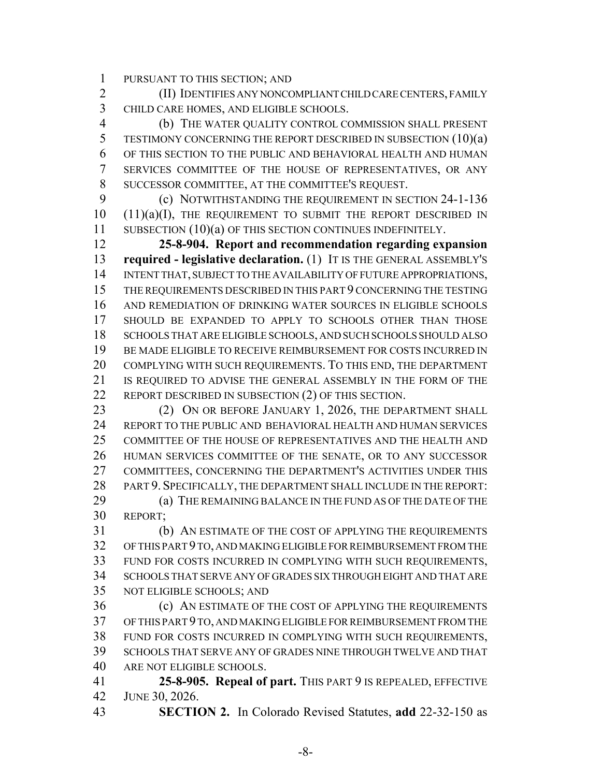PURSUANT TO THIS SECTION; AND

 (II) IDENTIFIES ANY NONCOMPLIANT CHILD CARE CENTERS, FAMILY CHILD CARE HOMES, AND ELIGIBLE SCHOOLS.

 (b) THE WATER QUALITY CONTROL COMMISSION SHALL PRESENT 5 TESTIMONY CONCERNING THE REPORT DESCRIBED IN SUBSECTION (10)(a) OF THIS SECTION TO THE PUBLIC AND BEHAVIORAL HEALTH AND HUMAN SERVICES COMMITTEE OF THE HOUSE OF REPRESENTATIVES, OR ANY SUCCESSOR COMMITTEE, AT THE COMMITTEE'S REQUEST.

**(c) NOTWITHSTANDING THE REQUIREMENT IN SECTION 24-1-136**   $(11)(a)(I)$ , THE REQUIREMENT TO SUBMIT THE REPORT DESCRIBED IN 11 SUBSECTION (10)(a) OF THIS SECTION CONTINUES INDEFINITELY.

 **25-8-904. Report and recommendation regarding expansion required - legislative declaration.** (1) IT IS THE GENERAL ASSEMBLY'S INTENT THAT, SUBJECT TO THE AVAILABILITY OF FUTURE APPROPRIATIONS, THE REQUIREMENTS DESCRIBED IN THIS PART 9 CONCERNING THE TESTING AND REMEDIATION OF DRINKING WATER SOURCES IN ELIGIBLE SCHOOLS SHOULD BE EXPANDED TO APPLY TO SCHOOLS OTHER THAN THOSE SCHOOLS THAT ARE ELIGIBLE SCHOOLS, AND SUCH SCHOOLS SHOULD ALSO BE MADE ELIGIBLE TO RECEIVE REIMBURSEMENT FOR COSTS INCURRED IN COMPLYING WITH SUCH REQUIREMENTS. TO THIS END, THE DEPARTMENT IS REQUIRED TO ADVISE THE GENERAL ASSEMBLY IN THE FORM OF THE 22 REPORT DESCRIBED IN SUBSECTION (2) OF THIS SECTION.

23 (2) ON OR BEFORE JANUARY 1, 2026, THE DEPARTMENT SHALL REPORT TO THE PUBLIC AND BEHAVIORAL HEALTH AND HUMAN SERVICES COMMITTEE OF THE HOUSE OF REPRESENTATIVES AND THE HEALTH AND HUMAN SERVICES COMMITTEE OF THE SENATE, OR TO ANY SUCCESSOR COMMITTEES, CONCERNING THE DEPARTMENT'S ACTIVITIES UNDER THIS PART 9. SPECIFICALLY, THE DEPARTMENT SHALL INCLUDE IN THE REPORT: (a) THE REMAINING BALANCE IN THE FUND AS OF THE DATE OF THE REPORT;

 (b) AN ESTIMATE OF THE COST OF APPLYING THE REQUIREMENTS OF THIS PART 9 TO, AND MAKING ELIGIBLE FOR REIMBURSEMENT FROM THE FUND FOR COSTS INCURRED IN COMPLYING WITH SUCH REQUIREMENTS, SCHOOLS THAT SERVE ANY OF GRADES SIX THROUGH EIGHT AND THAT ARE NOT ELIGIBLE SCHOOLS; AND

 (c) AN ESTIMATE OF THE COST OF APPLYING THE REQUIREMENTS OF THIS PART 9 TO, AND MAKING ELIGIBLE FOR REIMBURSEMENT FROM THE FUND FOR COSTS INCURRED IN COMPLYING WITH SUCH REQUIREMENTS, SCHOOLS THAT SERVE ANY OF GRADES NINE THROUGH TWELVE AND THAT ARE NOT ELIGIBLE SCHOOLS.

 **25-8-905. Repeal of part.** THIS PART 9 IS REPEALED, EFFECTIVE JUNE 30, 2026.

**SECTION 2.** In Colorado Revised Statutes, **add** 22-32-150 as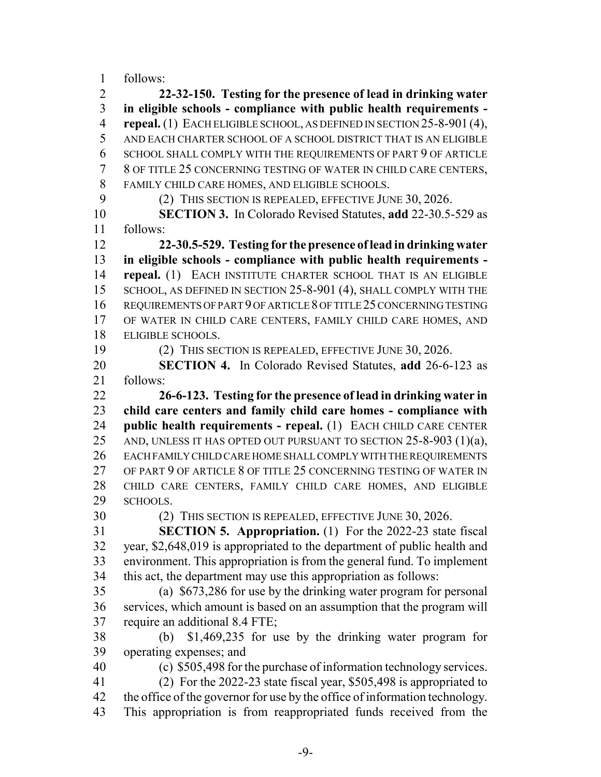follows:

 **22-32-150. Testing for the presence of lead in drinking water in eligible schools - compliance with public health requirements - repeal.** (1) EACH ELIGIBLE SCHOOL, AS DEFINED IN SECTION 25-8-901 (4), AND EACH CHARTER SCHOOL OF A SCHOOL DISTRICT THAT IS AN ELIGIBLE SCHOOL SHALL COMPLY WITH THE REQUIREMENTS OF PART 9 OF ARTICLE 8 OF TITLE 25 CONCERNING TESTING OF WATER IN CHILD CARE CENTERS, FAMILY CHILD CARE HOMES, AND ELIGIBLE SCHOOLS.

9 (2) THIS SECTION IS REPEALED, EFFECTIVE JUNE 30, 2026.

 **SECTION 3.** In Colorado Revised Statutes, **add** 22-30.5-529 as follows:

 **22-30.5-529. Testing for the presence of lead in drinking water in eligible schools - compliance with public health requirements - repeal.** (1) EACH INSTITUTE CHARTER SCHOOL THAT IS AN ELIGIBLE 15 SCHOOL, AS DEFINED IN SECTION 25-8-901 (4), SHALL COMPLY WITH THE REQUIREMENTS OF PART 9 OF ARTICLE 8 OF TITLE 25 CONCERNING TESTING OF WATER IN CHILD CARE CENTERS, FAMILY CHILD CARE HOMES, AND ELIGIBLE SCHOOLS.

(2) THIS SECTION IS REPEALED, EFFECTIVE JUNE 30, 2026.

 **SECTION 4.** In Colorado Revised Statutes, **add** 26-6-123 as follows:

 **26-6-123. Testing for the presence of lead in drinking water in child care centers and family child care homes - compliance with public health requirements - repeal.** (1) EACH CHILD CARE CENTER 25 AND, UNLESS IT HAS OPTED OUT PURSUANT TO SECTION 25-8-903 (1)(a), EACH FAMILY CHILD CARE HOME SHALL COMPLY WITH THE REQUIREMENTS OF PART 9 OF ARTICLE 8 OF TITLE 25 CONCERNING TESTING OF WATER IN CHILD CARE CENTERS, FAMILY CHILD CARE HOMES, AND ELIGIBLE SCHOOLS.

(2) THIS SECTION IS REPEALED, EFFECTIVE JUNE 30, 2026.

 **SECTION 5. Appropriation.** (1) For the 2022-23 state fiscal year, \$2,648,019 is appropriated to the department of public health and environment. This appropriation is from the general fund. To implement this act, the department may use this appropriation as follows:

 (a) \$673,286 for use by the drinking water program for personal services, which amount is based on an assumption that the program will require an additional 8.4 FTE;

 (b) \$1,469,235 for use by the drinking water program for operating expenses; and

(c) \$505,498 for the purchase of information technology services.

(2) For the 2022-23 state fiscal year, \$505,498 is appropriated to

the office of the governor for use by the office of information technology.

This appropriation is from reappropriated funds received from the